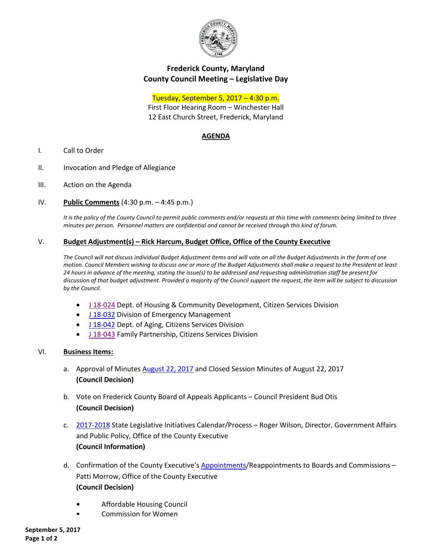

# **Frederick County, Maryland County Council Meeting – Legislative Day**

Tuesday, September 5, 2017 – 4:30 p.m.

First Floor Hearing Room – Winchester Hall 12 East Church Street, Frederick, Maryland

# **AGENDA**

- I. Call to Order
- II. Invocation and Pledge of Allegiance
- III. Action on the Agenda
- IV. **Public Comments** (4:30 p.m. 4:45 p.m.)

*It is the policy of the County Council to permit public comments and/or requests at this time with comments being limited to three minutes per person. Personnel matters are confidential and cannot be received through this kind of forum.*

## V. **Budget Adjustment(s) – Rick Harcum, Budget Office, Office of the County Executive**

*The Council will not discuss individual Budget Adjustment items and will vote on all the Budget Adjustments in the form of one motion. Council Members wishing to discuss one or more of the Budget Adjustments shall make a request to the President at least 24 hours in advance of the meeting, stating the issue(s) to be addressed and requesting administration staff be present for discussion of that budget adjustment. Provided a majority of the Council support the request, the item will be subject to discussion by the Council.*

- [J 18-024](https://www.frederickcountymd.gov/DocumentCenter/View/299901) Dept. of Housing & Community Development, Citizen Services Division
- [J 18-032](https://www.frederickcountymd.gov/DocumentCenter/View/299800) Division of Emergency Management
- [J 18-042](https://www.frederickcountymd.gov/DocumentCenter/View/299801) Dept. of Aging, Citizens Services Division
- [J 18-043](https://www.frederickcountymd.gov/DocumentCenter/View/299902) Family Partnership, Citizens Services Division

#### VI. **Business Items:**

- a. Approval of Minutes [August 22, 2017](https://www.frederickcountymd.gov/DocumentCenter/View/299803) and Closed Session Minutes of August 22, 2017 **(Council Decision)**
- b. Vote on Frederick County Board of Appeals Applicants Council President Bud Otis **(Council Decision)**
- c. [2017-2018](https://www.frederickcountymd.gov/DocumentCenter/View/299805) State Legislative Initiatives Calendar/Process Roger Wilson, Director, Government Affairs and Public Policy, Office of the County Executive **(Council Information)**
- d. Confirmation of the County Executive's [Appointments/](https://www.frederickcountymd.gov/DocumentCenter/View/299798)Reappointments to Boards and Commissions -Patti Morrow, Office of the County Executive **(Council Decision)**
	- **•** Affordable Housing Council
	- Commission for Women